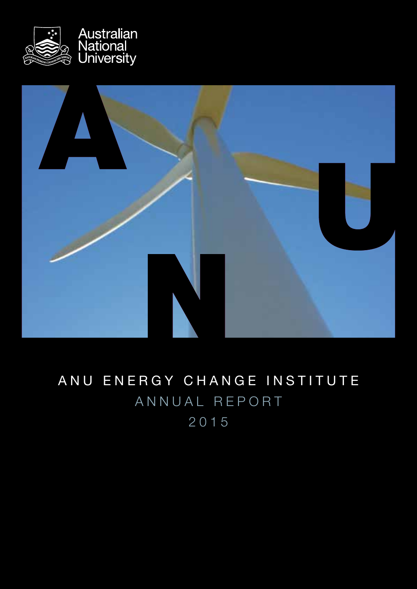



# ANU ENERGY CHANGE INSTITUTE ANNUAL REPORT 2015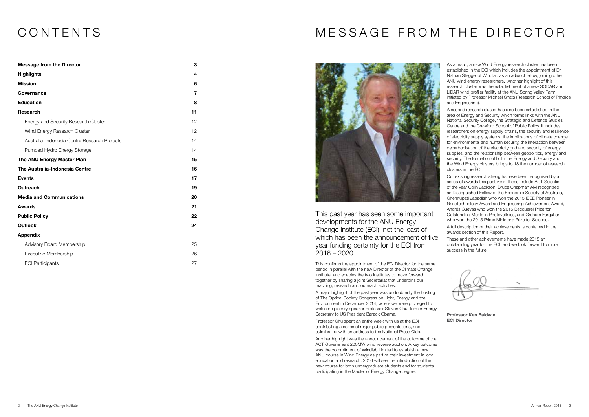# CONTENTS

| <b>Message from the Director</b>             | 3              |
|----------------------------------------------|----------------|
| <b>Highlights</b>                            | 4              |
| <b>Mission</b>                               | 6              |
| Governance                                   | $\overline{7}$ |
| <b>Education</b>                             | 8              |
| <b>Research</b>                              | 11             |
| Energy and Security Research Cluster         | 12             |
| Wind Energy Research Cluster                 | 12             |
| Australia-Indonesia Centre Research Projects | 14             |
| Pumped Hydro Energy Storage                  | 14             |
| The ANU Energy Master Plan                   | 15             |
| The Australia-Indonesia Centre               | 16             |
| <b>Events</b>                                | 17             |
| <b>Outreach</b>                              | 19             |
| <b>Media and Communications</b>              | 20             |
| <b>Awards</b>                                | 21             |
| <b>Public Policy</b>                         | 22             |
| <b>Outlook</b>                               | 24             |
| <b>Appendix</b>                              |                |
| Advisory Board Membership                    | 25             |
| <b>Executive Membership</b>                  | 26             |
| <b>ECI Participants</b>                      | 27             |

This past year has seen some important developments for the ANU Energy Change Institute (ECI), not the least of which has been the announcement of five year funding certainty for the ECI from 2016 – 2020.

This confirms the appointment of the ECI Director for the same period in parallel with the new Director of the Climate Change Institute, and enables the two Institutes to move forward together by sharing a joint Secretariat that underpins our teaching, research and outreach activities.

As a result, a new Wind Energy research cluster has been established in the ECI which includes the appointment of Dr Nathan Steggel of Windlab as an adjunct fellow, joining other ANU wind energy researchers. Another highlight of this research cluster was the establishment of a new SODAR and LIDAR wind profiler facility at the ANU Spring Valley Farm, initiated by Professor Michael Shats (Research School of Physics and Engineering).

A major highlight of the past year was undoubtedly the hosting of The Optical Society Congress on Light, Energy and the Environment in December 2014, where we were privileged to welcome plenary speaker Professor Steven Chu, former Energy Secretary to US President Barack Obama.

Professor Chu spent an entire week with us at the ECI contributing a series of major public presentations, and culminating with an address to the National Press Club.

Another highlight was the announcement of the outcome of the ACT Government 200MW wind reverse auction. A key outcome was the commitment of Windlab Limited to establish a new ANU course in Wind Energy as part of their investment in local education and research. 2016 will see the introduction of the new course for both undergraduate students and for students participating in the Master of Energy Change degree.

A second research cluster has also been established in the area of Energy and Security which forms links with the ANU National Security College, the Strategic and Defence Studies Centre and the Crawford School of Public Policy. It includes researchers on energy supply chains, the security and resilience of electricity supply systems, the implications of climate change for environmental and human security, the interaction between decarbonisation of the electricity grid and security of energy supplies, and the relationship between geopolitics, energy and security. The formation of both the Energy and Security and the Wind Energy clusters brings to 18 the number of research clusters in the ECI.

Our existing research strengths have been recognised by a series of awards this past year. These include ACT Scientist of the year Colin Jackson, Bruce Chapman AM recognised as Distinguished Fellow of the Economic Society of Australia, Chennupati Jagadish who won the 2015 IEEE Pioneer in Nanotechnology Award and Engineering Achievement Award, Andrés Cuevas who won the 2015 Becquerel Prize for Outstanding Merits in Photovoltaics, and Graham Farquhar who won the 2015 Prime Minister's Prize for Science.

A full description of their achievements is contained in the awards section of this Report.

These and other achievements have made 2015 an outstanding year for the ECI, and we look forward to more success in the future.

# MESSAGE FROM THE DIRECTOR



Professor Ken Baldwin ECI Director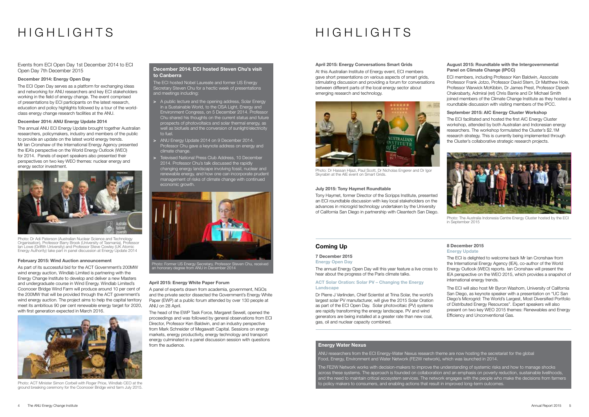Photo: Dr Adi Paterson (Australian Nuclear Science and Technology Organisation), Professor Barry Brook (University of Tasmania), Professor Ian Lowe (Griffith University) and Professor Steve Cowley (UK Atomic Energy Authority) take part in panel discussion at Energy Update 2014

# HIGHLIGHTS

Events from ECI Open Day 1st December 2014 to ECI Open Day 7th December 2015

#### December 2014: Energy Open Day

The ECI Open Day serves as a platform for exchanging ideas and networking for ANU researchers and key ECI stakeholders working in the field of energy change. The event comprised of presentations by ECI participants on the latest research, education and policy highlights followed by a tour of the worldclass energy change research facilities at the ANU.

#### December 2014: ANU Energy Update 2014

The annual ANU ECI Energy Update brought together Australian researchers, policymakers, industry and members of the public to provide an update on the latest world energy trends. Mr Ian Cronshaw of the International Energy Agency presented the IEA's perspective on the World Energy Outlook (WEO) for 2014. Panels of expert speakers also presented their perspectives on two key WEO themes: nuclear energy and energy sector investment.



#### February 2015: Wind Auction announcement

As part of its successful bid for the ACT Government's 200MW wind energy auction, Windlab Limited is partnering with the Energy Change Institute to develop and deliver a new Masters and undergraduate course in Wind Energy. Windlab Limited's Coonooer Bridge Wind Farm will produce around 10 per cent of the 200MW that will be provided through the ACT government's wind energy auction. The project aims to help the capital territory meet its ambitious 90 per cent renewable energy target for 2020, with first generation expected in March 2016.



Photo: ACT Minister Simon Corbell with Roger Price, Windlab CEO at the ground breaking ceremony for the Coonooer Bridge wind farm July 2015.

#### April 2015: Energy Conversations Smart Grids

At this Australian Institute of Energy event, ECI members gave short presentations on various aspects of smart grids, stimulating discussion and providing a forum for conversations between different parts of the local energy sector about emerging research and technology.

ACT Solar Oration: Solar PV – Changing the Energy **Landscape** 

#### July 2015: Tony Haymet Roundtable

Tony Haymet, former Director of the Scripps Institute, presented an ECI roundtable discussion with key local stakeholders on the advances in microgrid technology undertaken by the University of California San Diego in partnership with Cleantech San Diego.

#### August 2015: Roundtable with the Intergovernmental Panel on Climate Change (IPCC)

ECI members, including Professor Ken Baldwin, Associate Professor Frank Jotzo, Professor David Stern, Dr Matthew Hole, Professor Warwick McKibbin, Dr James Prest, Professor Dipesh Chakrabarty, Admiral (ret) Chris Barrie and Dr Michael Smith joined members of the Climate Change Institute as they hosted a roundtable discussion with visiting members of the IPCC.

#### September 2015: AIC Energy Cluster Workshop

The ECI facilitated and hosted the first AIC Energy Cluster workshop, attended by both Australian and Indonesian energy researchers. The workshop formulated the Cluster's \$2.1M research strategy. This is currently being implemented through the Cluster's collaborative strategic research projects.

#### April 2015: Energy White Paper Forum

A panel of experts drawn from academia, government, NGOs and the private sector dissected the Government's Energy White Paper (EWP) at a public forum attended by over 130 people at ANU on 28 April.

- > A public lecture and the opening address, Solar Energy in a Sustainable World, to the OSA Light, Energy and Environment Congress, on 5 December 2014. Professor Chu shared his thoughts on the current status and future prospects of photovoltaics and solar thermal energy, as well as biofuels and the conversion of sunlight/electricity to fuel.
- > ANU Energy Update 2014 on 9 December 2014. Professor Chu gave a keynote address on energy and climate change.
- > Televised National Press Club Address, 10 December 2014. Professor Chu's talk discussed the rapidly changing energy landscape involving fossil, nuclear and renewable energy, and how one can incorporate prudent management of risks of climate change with continued economic growth.

The head of the EWP Task Force, Margaret Sewell, opened the proceedings and was followed by general observations from ECI Director, Professor Ken Baldwin, and an industry perspective from Mark Schneider of Megawatt Capital. Sessions on energy markets, energy productivity, energy technology and transport energy culminated in a panel discussion session with questions from the audience.



Photo: Dr Hassan Hijazi, Paul Scott, Dr Nicholas Engerer and Dr Igor Skyrabin at the AIE event on Smart Grids.



Photo: The Australia Indonesia Centre Energy Cluster hosted by the ECI in September 2015

# HIGHLIGHTS

### Coming Up

7 December 2015

Energy Open Day

The annual Energy Open Day will this year feature a live cross to hear about the progress of the Paris climate talks.

Dr Pierre J Verlinden, Chief Scientist at Trina Solar, the world's largest solar PV manufacturer, will give the 2015 Solar Oration as part of the ECI Open Day. Solar photovoltaic (PV) systems are rapidly transforming the energy landscape. PV and wind generators are being installed at a greater rate than new coal, gas, oil and nuclear capacity combined.

#### 8 December 2015 Energy Update

The ECI is delighted to welcome back Mr Ian Cronshaw from the International Energy Agency (IEA), co-author of the World Energy Outlook (WEO) reports. Ian Cronshaw will present the IEA perspective on the WEO 2015, which provides a snapshot of international energy trends.

The ECI will also host Mr Byron Washom, University of California San Diego, as keynote speaker with a presentation on "UC San Diego's Microgrid: The World's Largest, Most Diversified Portfolio of Distributed Energy Resources". Expert speakers will also present on two key WEO 2015 themes: Renewables and Energy Efficiency and Unconventional Gas.

#### Energy Water Nexus

ANU researchers from the ECI Energy-Water Nexus research theme are now hosting the secretariat for the global Food, Energy, Environment and Water Network (FE2W network), which was launched in 2014.

The FE2W Network works with decision-makers to improve the understanding of systemic risks and how to manage shocks across these systems. The approach is founded on collaboration and an emphasis on poverty reduction, sustainable livelihoods, and the need to maintain critical ecosystem services. The network engages with the people who make the decisions from farmers to policy makers to consumers, and enabling actions that result in improved long-term outcomes.

#### December 2014: ECI hosted Steven Chu's visit to Canberra

The ECI hosted Nobel Laureate and former US Energy Secretary Steven Chu for a hectic week of presentations and meetings including:



Photo: Former US Energy Secretary, Professor Steven Chu, received an honorary degree from ANU in December 2014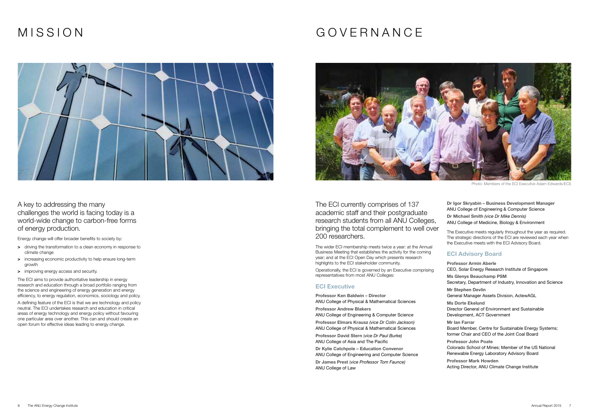# MISSION



- > driving the transformation to a clean economy in response to climate change
- > increasing economic productivity to help ensure long-term growth
- > improving energy access and security.

A key to addressing the many challenges the world is facing today is a world-wide change to carbon-free forms of energy production.

Energy change will offer broader benefits to society by:

The ECI aims to provide authoritative leadership in energy research and education through a broad portfolio ranging from the science and engineering of energy generation and energy efficiency, to energy regulation, economics, sociology and policy.

A defining feature of the ECI is that we are technology and policy neutral. The ECI undertakes research and education in critical areas of energy technology and energy policy without favouring one particular area over another. This can and should create an open forum for effective ideas leading to energy change.

# GOVERNANCE



The ECI currently comprises of 137 academic staff and their postgraduate research students from all ANU Colleges, bringing the total complement to well over 200 researchers.

The wider ECI membership meets twice a year: at the Annual Business Meeting that establishes the activity for the coming year; and at the ECI Open Day which presents research highlights to the ECI stakeholder community.

Operationally, the ECI is governed by an Executive comprising representatives from most ANU Colleges:

#### **ECI Executive**

Professor Ken Baldwin – Director ANU College of Physical & Mathematical Sciences Professor Andrew Blakers ANU College of Engineering & Computer Science Professor Elmars Krausz *(vice Dr Colin Jackson)* ANU College of Physical & Mathematical Sciences Professor David Stern (*vice Dr Paul Burke)* ANU College of Asia and The Pacific Dr Kylie Catchpole – Education Convenor ANU College of Engineering and Computer Science Dr James Prest (*vice Professor Tom Faunce)* ANU College of Law

Dr Igor Skryabin – Business Development Manager ANU College of Engineering & Computer Science Dr Michael Smith *(vice Dr Mike Dennis)*

#### ANU College of Medicine, Biology & Environment

The Executive meets regularly throughout the year as required. The strategic directions of the ECI are reviewed each year when the Executive meets with the ECI Advisory Board.

### ECI Advisory Board

Professor Armin Aberle CEO, Solar Energy Research Institute of Singapore Ms Glenys Beauchamp PSM Secretary, Department of Industry, Innovation and Science Mr Stephen Devlin General Manager Assets Division, ActewAGL Ms Dorte Ekelund Director General of Environment and Sustainable Development, ACT Government Mr Ian Farrar Board Member, Centre for Sustainable Energy Systems; former Chair and CEO of the Joint Coal Board Professor John Poate Colorado School of Mines; Member of the US National Renewable Energy Laboratory Advisory Board Professor Mark Howden Acting Director, ANU Climate Change Institute

Photo: Members of the ECI Executive Adam Edwards/ECI)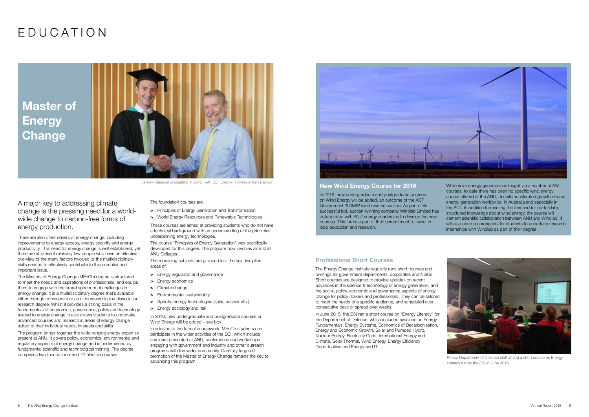# EDUCATION

A major key to addressing climate change is the pressing need for a worldwide change to carbon-free forms of energy production.

There are also other drivers of energy change, including improvements to energy access, energy security and energy productivity. This need for energy change is well established, yet there are at present relatively few people who have an effective overview of the many factors involved or the multidisciplinary skills needed to effectively contribute to this complex and important issue.

- > Principles of Energy Generation and Transformation
- > World Energy Resources and Renewable Technologies

The Masters of Energy Change (MEnCh) degree is structured to meet the needs and aspirations of professionals, and equips them to engage with the broad spectrum of challenges in energy change. It is a multidisciplinary degree that's available either through coursework or as a coursework plus dissertation research degree. Whilst it provides a strong basis in the fundamentals of economics, governance, policy and technology related to energy change, it also allows students to undertake advanced courses and research in areas of energy change suited to their individual needs, interests and skills.

Master of **Energy Change** 



Jeremy Gleeson graduating in 2015, with ECI Director, Professor Ken Baldwin New Wind Energy Course for 2016

The program brings together the wide-ranging energy expertise present at ANU. It covers policy, economics, environmental and regulatory aspects of energy change and is underpinned by fundamental scientific and technological training. The degree comprises two foundational and 41 elective courses.

The foundation courses are:

These courses are aimed at providing students who do not have a technical background with an understanding of the principles underpinning energy technologies.

The course "Principles of Energy Generation" was specifically developed for this degree. The program now involves almost all ANU Colleges.

The remaining subjects are grouped into the key discipline areas of:

- > Energy regulation and governance
- > Energy economics
- > Climate change
- > Environmental sustainability
- > Specific energy technologies (solar, nuclear etc.)
- > Energy sociology and risk

In 2016, new undergraduate and postgraduate courses on Wind Energy will be added – see box.

In addition to the formal coursework, MEnCh students can participate in the wider activities of the ECI, which include seminars presented at ANU, conferences and workshops engaging with government and industry and other outreach programs with the wider community. Carefully targeted promotion of the Master of Energy Change remains the key to advancing this program.



In 2016, new undergraduate and postgraduate courses on Wind Energy will be added, an outcome of the ACT Government 200MW wind reverse auction. As part of its successful bid, auction-winning company Windlab Limited has collaborated with ANU energy academics to develop the new courses. This forms a part of their commitment to invest in local education and research.

While solar energy generation is taught via a number of ANU courses, to date there has been no specific wind energy course offered at the ANU, despite accelerated growth in wind energy generation worldwide, in Australia and especially in the ACT. In addition to meeting the demand for up-to-date, structured knowledge about wind energy, the course will cement scientific collaboration between ANU and Windlab. It will also open up prospects for students to undertake research internships with Windlab as part of their degree.

#### Professional Short Courses

The Energy Change Institute regularly runs short courses and briefings for government departments, corporates and NGOs. Short courses are designed to provide updates on recent advances in the science & technology of energy generation, and the social, policy, economic and governance aspects of energy change for policy makers and professionals. They can be tailored to meet the needs of a specific audience, and scheduled over consecutive days or spread over weeks.

In June 2015, the ECI ran a short course on "Energy Literacy" for the Department of Defence, which included sessions on Energy Fundamentals, Energy Systems, Economics of Decarbonisation, Energy and Economic Growth, Solar and Pumped Hydro, Nuclear Energy, Electricity Grids, International Energy and Climate, Solar Thermal, Wind Energy, Energy Efficiency Opportunities and Energy and IT.



Photo: Department of Defence staff attend a short course on Energy Literacy run by the ECI in June 2015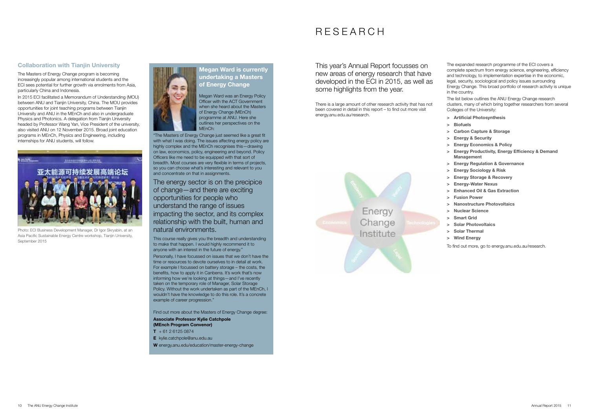### Megan Ward is currently undertaking a Masters of Energy Change

Megan Ward was an Energy Policy Officer with the ACT Government when she heard about the Masters of Energy Change (MEnCh) programme at ANU. Here she outlines her perspectives on the MEnCh:

"The Masters of Energy Change just seemed like a great fit with what I was doing. The issues affecting energy policy are highly complex and the MEnCh recognises this—drawing on law, economics, policy, engineering and beyond. Policy Officers like me need to be equipped with that sort of breadth. Most courses are very flexible in terms of projects, so you can choose what's interesting and relevant to you and concentrate on that in assignments.

The energy sector is on the precipice of change—and there are exciting opportunities for people who understand the range of issues impacting the sector, and its complex relationship with the built, human and natural environments.

- $T + 61 2 6125 0874$
- E kylie.catchpole@anu.edu.au

This course really gives you the breadth and understanding to make that happen. I would highly recommend it to anyone with an interest in the future of energy."

Photo: ECI Business Development Manager, Dr Igor Skryabin, at an Asia Pacific Sustainable Energy Centre workshop, Tianjin University, September 2015



Personally, I have focussed on issues that we don't have the time or resources to devote ourselves to in detail at work. For example I focussed on battery storage – the costs, the benefits, how to apply it in Canberra. It's work that's now informing how we're looking at things—and I've recently taken on the temporary role of Manager, Solar Storage Policy. Without the work undertaken as part of the MEnCh, I wouldn't have the knowledge to do this role. It's a concrete example of career progression."

Find out more about the Masters of Energy Change degree: Associate Professor Kylie Catchpole (MEnch Program Convenor)

W energy.anu.edu/education/master-energy-change

The Masters of Energy Change program is becoming increasingly popular among international students and the ECI sees potential for further growth via enrolments from Asia, particularly China and Indonesia.

In 2015 ECI facilitated a Memorandum of Understanding (MOU) between ANU and Tianjin University, China. The MOU provides opportunities for joint teaching programs between Tianjin University and ANU in the MEnCh and also in undergraduate Physics and Photonics. A delegation from Tianjin University headed by Professor Wang Yan, Vice President of the university, also visited ANU on 12 November 2015. Broad joint education programs in MEnCh, Physics and Engineering, including internships for ANU students, will follow.



This year's Annual Report focusses on new areas of energy research that have developed in the ECI in 2015, as well as some highlights from the year.

There is a large amount of other research activity that has not been covered in detail in this report – to find out more visit energy.anu.edu.au/research.



The expanded research programme of the ECI covers a complete spectrum from energy science, engineering, efficiency and technology, to implementation expertise in the economic, legal, security, sociological and policy issues surrounding Energy Change. This broad portfolio of research activity is unique in the country.

The list below outlines the ANU Energy Change research clusters, many of which bring together researchers from several Colleges of the University:

- > Artificial Photosynthesis
- > Biofuels
- > Carbon Capture & Storage
- > Energy & Security
- > Energy Economics & Policy
- > Energy Productivity, Energy Efficiency & Demand Management
- > Energy Regulation & Governance
- > Energy Sociology & Risk
- > Energy Storage & Recovery
- > Energy-Water Nexus
- > Enhanced Oil & Gas Extraction
- > Fusion Power
- > Nanostructure Photovoltaics
- > Nuclear Science
- > Smart Grid
- > Solar Photovoltaics
- > Solar Thermal
- > Wind Energy

To find out more, go to energy.anu.edu.au/research.

### RESEARCH

#### **Collaboration with Tianiin University**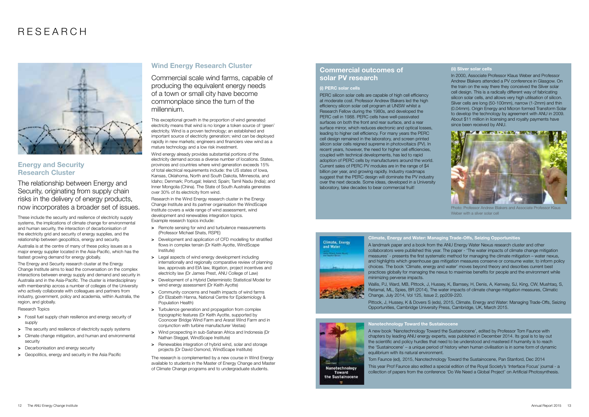# RESEARCH



### Energy and Security Research Cluster

The relationship between Energy and Security, originating from supply chain risks in the delivery of energy products, now incorporates a broader set of issues.

These include the security and resilience of electricity supply systems, the implications of climate change for environmental and human security, the interaction of decarbonisation of the electricity grid and security of energy supplies, and the relationship between geopolitics, energy and security.

Australia is at the centre of many of these policy issues as a major energy supplier located in the Asia-Pacific, which has the fastest growing demand for energy globally.

The Energy and Security research cluster at the Energy Change Institute aims to lead the conversation on the complex interactions between energy supply and demand and security in Australia and in the Asia-Pacific. The cluster is interdisciplinary with membership across a number of colleges of the University who actively collaborate with colleagues and partners from industry, government, policy and academia, within Australia, the region, and globally.

Research Topics

- > Fossil fuel supply chain resilience and energy security of supply
- > The security and resilience of electricity supply systems
- > Climate change mitigation, and human and environmental security
- > Decarbonisation and energy security
- > Geopolitics, energy and security in the Asia Pacific

#### Wind Energy Research Cluster

Commercial scale wind farms, capable of producing the equivalent energy needs of a town or small city have become commonplace since the turn of the millennium.

This exceptional growth in the proportion of wind generated electricity means that wind is no longer a token source of 'green' electricity. Wind is a proven technology; an established and important source of electricity generation; wind can be deployed rapidly in new markets; engineers and financiers view wind as a mature technology and a low risk investment.

- > Remote sensing for wind and turbulence measurements (Professor Michael Shats, RSPE)
- > Development and application of CFD modelling for stratified flows in complex terrain (Dr Keith Ayotte, WindScape Institute)
- > Legal aspects of wind energy development including internationally and regionally comparative review of planning law, approvals and EIA law, litigation, project incentives and electricity law (Dr James Prest, ANU College of Law)
- > Development of a Hybrid Deterministic Statistical Model for wind energy assessment (Dr Keith Ayotte)
- > Community concerns and health impacts of wind farms (Dr Elizabeth Hanna, National Centre for Epidemiology & Population Health)
- > Turbulence generation and propagation from complex topographic features (Dr Keith Ayotte, supported by Coonooer Bridge Wind Farm and Ararat Wind Farm and in conjunction with turbine manufacturer Vestas)
- > Wind prospecting in sub-Saharan Africa and Indonesia (Dr Nathan Steggel, WindScape Institute)
- > Renewables integration of hybrid wind, solar and storage projects (Dr David Osmond, WindScape Institute)

Wind energy already provides substantial portions of the electricity demand across a diverse number of locations. States, provinces and countries where wind generation exceeds 15% of total electrical requirements include: the US states of Iowa, Kansas, Oklahoma, North and South Dakota, Minnesota, and Idaho; Denmark; Portugal; Ireland; Spain; Tamil Nadu (India); and Inner Mongolia (China). The State of South Australia generates over 30% of its electricity from wind.

Research in the Wind Energy research cluster in the Energy Change Institute and its partner organisation the WindScape Institute covers a wide range of wind assessment, wind development and renewables integration topics. Example research topics include:



Photo: Professor Andrew Blakers and Associate Professor Klaus Weber with a sliver solar cell

The research is complemented by a new course in Wind Energy available to students in the Master of Energy Change and Master of Climate Change programs and to undergraduate students.

Nanotechnology Toward the Sustainocene A new book 'Nanotechnology Toward the Sustainocene', edited by Professor Tom Faunce with chapters by leading ANU energy experts, was published in December 2014. Its goal is to lay out the scientific and policy hurdles that need to be understood and mastered if humanity is to reach the 'Sustainocene' – a unique period of history when human civilisation is in some form of dynamic equilibrium with its natural environment.

Tom Faunce (ed), 2015, Nanotechnology Toward the Sustainocene, Pan Stanford, Dec 2014 This year Prof Faunce also edited a special edition of the Royal Society's 'Interface Focus' journal - a collection of papers from the conference 'Do We Need a Global Project' on Artificial Photosynthesis.

12 The ANU Energy Change Institute **Annual Report 2015** 13

#### Climate, Energy and Water: Managing Trade-Offs, Seizing Opportunities

A landmark paper and a book from the ANU Energy Water Nexus research cluster and other collaborators were published this year. The paper - 'The water impacts of climate change mitigation measures' - presents the first systematic method for managing the climate mitigation – water nexus, and highlights which greenhouse gas mitigation measures conserve or consume water, to inform policy choices. The book 'Climate, energy and water' moves beyond theory and describes current best practices globally for managing the nexus to maximise benefits for people and the environment while minimizing perverse impacts.

Wallis, PJ, Ward, MB, Pittock, J, Hussey, K, Bamsey, H, Denis, A, Kenway, SJ, King, CW, Mushtaq, S, Retamal, ML, Spies, BR (2014), The water impacts of climate change mitigation measures, Climatic Change, July 2014, Vol 125, Issue 2, pp209-220. Pittock, J, Hussey, K & Dovers S (eds), 2015, Climate, Energy and Water: Managing Trade-Offs, Seizing Opportunities, Cambridge University Press, Cambridge, UK, March 2015.



### Commercial outcomes of solar PV research

#### (i) PERC solar cells

PERC silicon solar cells are capable of high cell efficiency at moderate cost. Professor Andrew Blakers led the high efficiency silicon solar cell program at UNSW whilst a Research Fellow during the 1980s, and developed the PERC cell in 1988. PERC cells have well-passivated surfaces on both the front and rear surface, and a rear surface mirror, which reduces electronic and optical losses, leading to higher cell efficiency. For many years the PERC cell design remained in the laboratory, and screen printed silicon solar cells reigned supreme in photovoltaics (PV). In recent years, however, the need for higher cell efficiencies, coupled with technical developments, has led to rapid adoption of PERC cells by manufacturers around the world. Current sales of PERC PV modules are in the range of \$4 billion per year, and growing rapidly. Industry roadmaps suggest that the PERC design will dominate the PV industry over the next decade. Some ideas, developed in a University laboratory, take decades to bear commercial fruit!



#### (ii) Sliver solar cells

In 2000, Associate Professor Klaus Weber and Professor Andrew Blakers attended a PV conference in Glasgow. On the train on the way there they conceived the Sliver solar cell design. This is a radically different way of fabricating silicon solar cells, and allows very high utilisation of silicon. Sliver cells are long (50-100mm), narrow (1-2mm) and thin (0.04mm). Origin Energy and Micron formed Transform Solar to develop the technology by agreement with ANU in 2009. About \$11 million in licensing and royalty payments have since been received by ANU.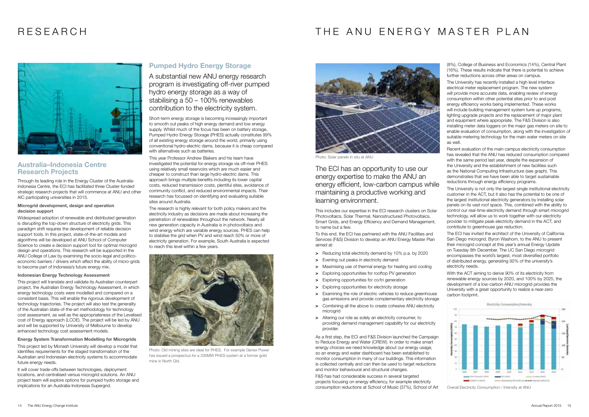### RESEARCH

### Australia–Indonesia Centre Research Projects

Through its leading role in the Energy Cluster of the Australia-Indonesia Centre, the ECI has facilitated three Cluster-funded strategic research projects that will commence at ANU and other AIC participating universities in 2015.

#### Microgrid development, design and operation decision support

Widespread adoption of renewable and distributed generation is disrupting the top-down structure of electricity grids. This paradigm shift requires the development of reliable decision support tools. In this project, state-of-the-art models and algorithms will be developed at ANU School of Computer Science to create a decision support tool for optimal microgrid design and operations. This research will be supported in the ANU College of Law by examining the socio-legal and politicoeconomic barriers / drivers which affect the ability of micro-grids to become part of Indonesia's future energy mix.

#### Indonesian Energy Technology Assessment

This project will translate and validate its Australian counterpart project, the Australian Energy Technology Assessment, in which energy technology costs were modelled and compared on a consistent basis. This will enable the rigorous development of technology trajectories. The project will also test the generality of the Australian state-of-the-art methodology for technology cost assessment, as well as the appropriateness of the Levelised cost of Energy approach (LCOE). The project will be led by ANU and will be supported by University of Melbourne to develop enhanced technology cost assessment models.

Energy System Transformation Modelling for Microgrids This project led by Monash University will develop a model that identifies requirements for the staged transformation of the Australian and Indonesian electricity systems to accommodate future energy needs.

It will cover trade-offs between technologies, deployment locations, and centralised versus microgrid solutions. An ANU project team will explore options for pumped hydro storage and implications for an Australia-Indonesia Supergrid.

### Pumped Hydro Energy Storage

A substantial new ANU energy research program is investigating off-river pumped hydro energy storage as a way of stabilising a 50 – 100% renewables contribution to the electricity system.

- > Reducing total electricity demand by 10% p.a. by 2020
- > Evening out peaks in electricity demand
- > Maximising use of thermal energy for heating and cooling
- > Exploring opportunities for rooftop PV generation
- > Exploring opportunities for co/tri generation
- > Exploring opportunities for electricity storage
- > Examining the role of electric vehicles to reduce greenhouse gas emissions and provide complementary electricity storage
- > Combining all the above to create cohesive ANU electricity microgrid
- > Altering our role as solely an electricity consumer, to providing demand management capability for our electricity provider.

Short-term energy storage is becoming increasingly important to smooth out peaks of high energy demand and low energy supply. Whilst much of the focus has been on battery storage. Pumped Hydro Energy Storage (PHES) actually constitutes 99% of all existing energy storage around the world, primarily using conventional hydro-electric dams, because it is cheap compared with alternatives such as batteries.

This year Professor Andrew Blakers and his team have investigated the potential for energy storage via off-river PHES using relatively small reservoirs which are much easier and cheaper to construct than large hydro-electric dams. This approach brings multiple benefits including its lower capital costs, reduced transmission costs, plentiful sites, avoidance of community conflict, and reduced environmental impacts. Their research has focussed on identifying and evaluating suitable sites around Australia.

The research is highly relevant for both policy makers and the electricity industry as decisions are made about increasing the penetration of renewables throughout the network. Nearly all new generation capacity in Australia is in photovoltaics and wind energy which are variable energy sources. PHES can help to stabilise the grid when PV and wind reach 50% or more of electricity generation. For example, South Australia is expected to reach this level within a few years.



Photo: Old mining sites are ideal for PHES. For example Genex Power has issued a prospectus for a 330MW PHES system at a former gold mine in North Qld.

### THE ANU ENERGY MASTER PLAN



The ECI has an opportunity to use our energy expertise to make the ANU an energy efficient, low-carbon campus while maintaining a productive working and learning environment.

This includes our expertise in the ECI research clusters on Solar Photovoltaics, Solar Thermal, Nanostructured Photovoltaics, Smart Grids, and Energy Efficiency and Demand Management, to name but a few.

To this end, the ECI has partnered with the ANU Facilities and Services (F&S) Division to develop an ANU Energy Master Plan aimed at:

As a first step, the ECI and F&S Division launched the Campaign to Reduce Energy and Water (CREW). In order to make smart energy choices we need knowledge about our energy usage, so an energy and water dashboard has been established to monitor consumption in many of our buildings. This information is collected centrally and can then be used to target reductions and monitor behavioural and structural changes.

F&S has had considerable success in several targeted projects focusing on energy efficiency, for example electricity consumption reductions at School of Music (37%), School of Art

(8%), College of Business and Economics (14%), Central Plant (16%). These results indicate that there is potential to achieve further reductions across other areas on campus.

The University has recently installed a high level interface electrical meter replacement program. The new system will provide more accurate data, enabling review of energy consumption within other potential sites prior to and post energy efficiency works being implemented. These works will include building management system tune up programs, lighting upgrade projects and the replacement of major plant and equipment where appropriate. The F&S Division is also installing meter data loggers on the major gas meters on site to enable evaluation of consumption, along with the investigation of suitable metering technology for the main water meters on site as well.

Recent evaluation of the main campus electricity consumption has revealed that the ANU has reduced consumption compared with the same period last year, despite the expansion of the University and the establishment of new facilities such as the National Computing Infrastructure (see graph). This demonstrates that we have been able to target sustainable reductions through energy efficiency programs.

The University is not only the largest single institutional electricity customer in the ACT, but it also has the potential to be one of the largest institutional electricity generators by installing solar panels on its vast roof space. This, combined with the ability to control our real-time electricity demand through smart microgrid technology, will allow us to work together with our electricity provider to mitigate peak electricity demand in the ACT, and contribute to greenhouse gas reduction.

The ECI has invited the architect of the University of California San Diego microgrid, Byron Washom, to the ANU to present their microgrid concept at this year's annual Energy Update on Tuesday 8th December. The UC San Diego microgrid encompasses the world's largest, most diversified portfolio of distributed energy, generating 92% of the university's electricity needs.

With the ACT aiming to derive 90% of its electricity from renewable energy sources by 2020, and 100% by 2025, the development of a low-carbon ANU microgrid provides the University with a great opportunity to realize a near-zero carbon footprint.



Overall Electricity Consumption / Intensity at ANU



Photo: Solar panels in situ at ANU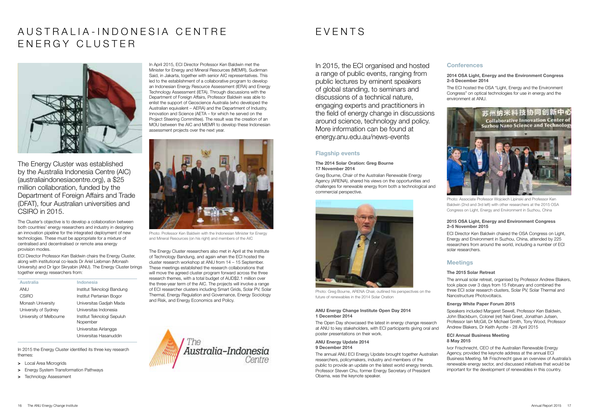# AUSTRALIA-INDONESIA CENTRE ENERGY CLUSTER



The Energy Cluster was established by the Australia Indonesia Centre (AIC) (australiaindonesiacentre.org), a \$25 million collaboration, funded by the Department of Foreign Affairs and Trade (DFAT), four Australian universities and CSIRO in 2015.

The Cluster's objective is to develop a collaboration between both countries' energy researchers and industry in designing an innovation pipeline for the integrated deployment of new technologies. These must be appropriate for a mixture of centralised and decentralised or remote area energy provision modes.

ECI Director Professor Ken Baldwin chairs the Energy Cluster, along with institutional co-leads Dr Ariel Liebman (Monash University) and Dr Igor Skryabin (ANU). The Energy Cluster brings together energy researchers from:

| <b>Australia</b>        | Indonesia                              |
|-------------------------|----------------------------------------|
| ANU                     | Institut Teknologi Bandung             |
| CSIRO                   | Institut Pertanian Bogor               |
| Monash University       | Universitas Gadiah Mada                |
| University of Sydney    | Universitas Indonesia                  |
| University of Melbourne | Institut Teknologi Sepuluh<br>Nopember |
|                         | Universitas Airlangga                  |
|                         | Universitas Hasanuddin                 |

In 2015 the Energy Cluster identified its three key research themes:

- > Local Area Microgrids
- > Energy System Transformation Pathways
- > Technology Assessment

In April 2015, ECI Director Professor Ken Baldwin met the Minister for Energy and Mineral Resources (MEMR), Sudirman Said, in Jakarta, together with senior AIC representatives. This led to the establishment of a collaborative program to develop an Indonesian Energy Resource Assessment (IERA) and Energy Technology Assessment (IETA). Through discussions with the Department of Foreign Affairs, Professor Baldwin was able to enlist the support of Geoscience Australia (who developed the Australian equivalent – AERA) and the Department of Industry, Innovation and Science (AETA – for which he served on the Project Steering Committee). The result was the creation of an MOU between the AIC and MEMR to develop these Indonesian assessment projects over the next year.

The Energy Cluster researchers also met in April at the Institute of Technology Bandung, and again when the ECI hosted the cluster research workshop at ANU from 14 – 15 September. These meetings established the research collaborations that will move the agreed cluster program forward across the three research themes, with a total budget of AUD\$2.1 million over the three-year term of the AIC. The projects will involve a range of ECI researcher clusters including Smart Grids, Solar PV, Solar Thermal, Energy Regulation and Governance, Energy Sociology and Risk, and Energy Economics and Policy.





Photo: Professor Ken Baldwin with the Indonesian Minister for Energy and Mineral Resources (on his right) and members of the AIC

### EVENTS

In 2015, the ECI organised and hosted a range of public events, ranging from public lectures by eminent speakers of global standing, to seminars and discussions of a technical nature, engaging experts and practitioners in the field of energy change in discussions around science, technology and policy. More information can be found at energy.anu.edu.au/news-events

#### Flagship events

#### The 2014 Solar Oration: Greg Bourne 17 November 2014

Greg Bourne, Chair of the Australian Renewable Energy Agency (ARENA), shared his views on the opportunities and challenges for renewable energy from both a technological and commercial perspective.

#### ANU Energy Change Institute Open Day 2014 1 December 2014

The Open Day showcased the latest in energy change research at ANU to key stakeholders, with ECI participants giving oral and poster presentations on their work.

#### ANU Energy Update 2014 9 December 2014

The annual ANU ECI Energy Update brought together Australian researchers, policymakers, industry and members of the public to provide an update on the latest world energy trends. Professor Steven Chu, former Energy Secretary of President Obama, was the keynote speaker.

### **Conferences**

#### 2014 OSA Light, Energy and the Environment Congress 2–5 December 2014

The ECI hosted the OSA "Light, Energy and the Environment Congress" on optical technologies for use in energy and the environment at ANU.



#### 2015 OSA Light, Energy and Environment Congress 2–5 November 2015

ECI Director Ken Baldwin chaired the OSA Congress on Light, Energy and Environment in Suzhou, China, attended by 225 researchers from around the world, including a number of ECI solar researchers.

### **Meetings**

#### The 2015 Solar Retreat

The annual solar retreat, organised by Professor Andrew Blakers, took place over 3 days from 15 February and combined the three ECI solar research clusters, Solar PV, Solar Thermal and Nanostructure Photovoltaics.

#### Energy White Paper Forum 2015

Speakers included Margaret Sewell, Professor Ken Baldwin, John Blackburn, Colonel (ret) Neil Greet, Jonathan Jutsen, Professor Iain McGill, Dr Michael Smith, Tony Wood, Professor Andrew Blakers, Dr Keith Ayotte - 28 April 2015

#### ECI Annual Business Meeting 8 May 2015

Ivor Frischnecht, CEO of the Australian Renewable Energy Agency, provided the keynote address at the annual ECI Business Meeting. Mr Frischnecht gave an overview of Australia's renewable energy sector, and discussed initiatives that would be important for the development of renewables in this country.



Photo: Greg Bourne, ARENA Chair, outlined his perspectives on the future of renewables in the 2014 Solar Oration

Photo: Associate Professor Wojciech Lipinski and Professor Ken Baldwin (2nd and 3rd left) with other researchers at the 2015 OSA Congress on Light, Energy and Environment in Suzhou, China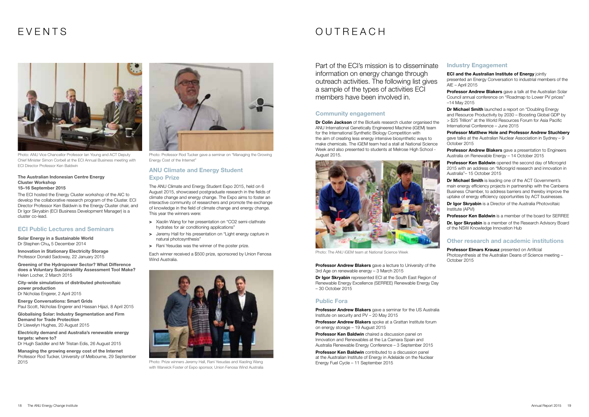#### The Australian Indonesian Centre Energy Cluster Workshop 15–16 September 2015

The ECI hosted the Energy Cluster workshop of the AIC to develop the collaborative research program of the Cluster. ECI Director Professor Ken Baldwin is the Energy Cluster chair, and Dr Igor Skryabin (ECI Business Development Manager) is a cluster co-lead.

#### ECI Public Lectures and Seminars

Solar Energy in a Sustainable World Dr Stephen Chu, 5 December 2014

Innovation in Stationary Electricity Storage Professor Donald Sadoway, 22 January 2015

Greening of the Hydropower Sector? What Difference does a Voluntary Sustainability Assessment Tool Make? Helen Locher, 2 March 2015

City-wide simulations of distributed photovoltaic power production Dr Nicholas Engerer, 2 April 2015

- > Xiaolin Wang for her presentation on "CO2 semi-clathrate hydrates for air conditioning applications"
- > Jeremy Hall for his presentation on "Light energy capture in natural photosynthesis"
- > Rani Yesudas was the winner of the poster prize.

Energy Conversations: Smart Grids

Paul Scott, Nicholas Engerer and Hassan Hijazi, 8 April 2015

Globalising Solar: Industry Segmentation and Firm Demand for Trade Protection Dr Llewelyn Hughes, 20 August 2015

Electricity demand and Australia's renewable energy targets: where to? Dr Hugh Saddler and Mr Tristan Edis, 26 August 2015

Managing the growing energy cost of the Internet Professor Rod Tucker, University of Melbourne, 29 September 2015

#### ANU Climate and Energy Student Expo Prize

The ANU Climate and Energy Student Expo 2015, held on 6 August 2015, showcased postgraduate research in the fields of climate change and energy change. The Expo aims to foster an interactive community of researchers and promote the exchange of knowledge in the field of climate change and energy change. This year the winners were:

Dr Colin Jackson of the Biofuels research cluster organised the ANU International Genetically Engineered Machine (iGEM) team for the International Synthetic Biology Competition with the aim of creating less energy intensive biosynthetic ways to make chemicals. The iGEM team had a stall at National Science Week and also presented to students at Melrose High School - August 2015.

**Professor Andrew Blakers** gave a lecture to University of the 3rd Age on renewable energy – 3 March 2015

Dr Igor Skryabin represented ECI at the South East Region of Renewable Energy Excellence (SERREE) Renewable Energy Day – 30 October 2015

Professor Andrew Blakers gave a seminar for the US Australia Institute on security and PV – 20 May 2015

Professor Andrew Blakers spoke at a Grattan Institute forum on energy storage – 19 August 2015

**Professor Ken Baldwin** chaired a discussion panel on Innovation and Renewables at the La Camara Spain and Australia Renewable Energy Conference – 3 September 2015

Professor Ken Baldwin contributed to a discussion panel at the Australian Institute of Energy in Adelaide on the Nuclear Energy Fuel Cycle – 11 September 2015

Each winner received a \$500 prize, sponsored by Union Fenosa Wind Australia.

ECI and the Australian Institute of Energy iointly presented an Energy Conversation to industrial members of the AIE – April 2015

Professor Andrew Blakers gave a talk at the Australian Solar Council annual conference on "Roadmap to Lower PV prices" –14 May 2015



Photo: ANU Vice Chancellor Professor Ian Young and ACT Deputy Chief Minister Simon Corbell at the ECI Annual Business meeting with ECI Director Professor Ken Baldwin

Dr Michael Smith launched a report on "Doubling Energy and Resource Productivity by 2030 – Boosting Global GDP by > \$25 Trillion" at the World Resources Forum for Asia Pacific International Conference – June 2015



Photo: Prize winners Jeremy Hall, Rani Yesudas and Xiaoling Wang with Warwick Foster of Expo sponsor, Union Fenosa Wind Australia

Professor Andrew Blakers gave a presentation to Engineers Australia on Renewable Energy – 14 October 2015



Photo: Professor Rod Tucker gave a seminar on "Managing the Growing Energy Cost of the Internet"

Professor Ken Baldwin opened the second day of Microgrid 2015 with an address on "Microgrid research and innovation in Australia"– 15 October 2015

### OUTREACH

Dr Michael Smith is leading one of the ACT Government's main energy efficiency projects in partnership with the Canberra Business Chamber, to address barriers and thereby improve the uptake of energy efficiency opportunities by ACT businesses.

Part of the ECI's mission is to disseminate information on energy change through outreach activities. The following list gives a sample of the types of activities ECI members have been involved in.

> Dr Igor Skryabin is a Director of the Australia Photovoltaic Institute (APVI)

**Professor Ken Baldwin** is a member of the board for SERREE Dr. Igor Skryabin is a member of the Research Advisory Board of the NSW Knowledge Innovation Hub

#### Community engagement

Professor Elmars Krausz presented on Artificial Photosynthesis at the Australian Deans of Science meeting – October 2015

#### Public Fora

### Industry Engagement

Professor Matthew Hole and Professor Andrew Stuchbery gave talks at the Australian Nuclear Association in Sydney – 9 October 2015

#### Other research and academic institutions



Photo: The ANU iGEM team at National Science Week

### EVENTS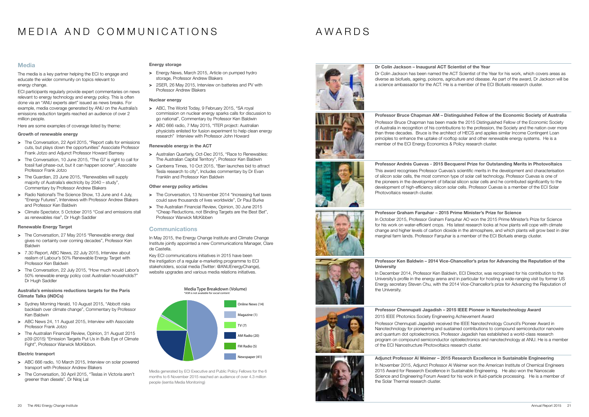# MEDIA AND COMMUNICATIONS

The media is a key partner helping the ECI to engage and educate the wider community on topics relevant to energy change.

ECI participants regularly provide expert commentaries on news relevant to energy technology and energy policy. This is often done via an "ANU experts alert" issued as news breaks. For example, media coverage generated by ANU on the Australia's emissions reduction targets reached an audience of over 2 million people.

Here are some examples of coverage listed by theme:

#### Growth of renewable energy

- > The Conversation, 22 April 2015, "Report calls for emissions cuts, but plays down the opportunities" Associate Professor Frank Jotzo and Adjunct Professor Howard Bamsey
- > The Conversation, 10 June 2015, "The G7 is right to call for fossil fuel phase-out, but it can happen sooner", Associate Professor Frank Jotzo
- > The Guardian, 23 June 2015, "Renewables will supply majority of Australia's electricity by 2040 – study", Commentary by Professor Andrew Blakers
- > Radio National's The Science Show, 13 June and 4 July. "Energy Futures", Interviews with Professor Andrew Blakers and Professor Ken Baldwin
- > Climate Spectator, 5 October 2015 "Coal and emissions stall as renewables rise", Dr Hugh Saddler

- > The Conversation, 27 May 2015 "Renewable energy deal gives no certainty over coming decades", Professor Ken **Baldwin**
- > 7.30 Report, ABC News, 22 July 2015, Interview about realism of Labour's 50% Renewable Energy Target with Professor Ken Baldwin
- > The Conversation, 22 July 2015, "How much would Labor's 50% renewable energy policy cost Australian households?" Dr Hugh Saddler
- > Energy News, March 2015, Article on pumped hydro storage, Professor Andrew Blakers
- > 2SER, 26 May 2015, Interview on batteries and PV with Professor Andrew Blakers

#### Renewable Energy Target

- > ABC, The World Today, 9 February 2015, "SA royal commission on nuclear energy sparks calls for discussion to go national", Commentary by Professor Ken Baldwin
- > ABC 666 radio, 7 May 2015, "ITER project: Australian physicists enlisted for fusion experiment to help clean energy research" Interview with Professor John Howard

#### Australia's emissions reductions targets for the Paris Climate Talks (iNDCs)

- > Sydney Morning Herald, 10 August 2015, "Abbott risks backlash over climate change", Commentary by Professor Ken Baldwin
- > ABC News 24, 11 August 2015, Interview with Associate Professor Frank Jotzo
- > The Australian Financial Review, Opinion, 31 August 2015 p39 (2015) "Emission Targets Put Us in Bulls Eye of Climate Fight", Professor Warwick McKibbon.

#### Electric transport

- > ABC 666 radio, 10 March 2015, Interview on solar powered transport with Professor Andrew Blakers
- > The Conversation, 30 April 2015, "Teslas in Victoria aren't greener than diesels", Dr Niraj Lal

#### Energy storage

#### Nuclear energy

#### Renewable energy in the ACT

- > Australian Quarterly, Oct-Dec 2015, "Race to Renewables: The Australian Capital Territory", Professor Ken Baldwin
- > Canberra Times, 10 Oct 2015, "Barr launches bid to attract Tesla research to city", Includes commentary by Dr Evan Franklin and Professor Ken Baldwin

#### Other energy policy articles

- > The Conversation, 13 November 2014 "Increasing fuel taxes could save thousands of lives worldwide", Dr Paul Burke
- > The Australian Financial Review, Opinion, 30 June 2015 "Cheap Reductions, not Binding Targets are the Best Bet", Professor Warwick McKibben

#### **Communications**



In May 2015, the Energy Change Institute and Climate Change Institute jointly appointed a new Communications Manager, Clare de Castella.

Key ECI communications initiatives in 2015 have been the instigation of a regular e-marketing programme to ECI stakeholders, social media (Twitter: @ANUEnergyChange), website upgrades and various media relations initiatives.

Media generated by ECI Executive and Public Policy Fellows for the 6 months to 6 November 2015 reached an audience of over 4.3 million people (isentia Media Monitoring)



Dr Colin Jackson – Inaugural ACT Scientist of the Year Dr Colin Jackson has been named the ACT Scientist of the Year for his work, which covers areas as diverse as biofuels, ageing, poisons, agriculture and disease. As part of the award, Dr Jackson will be a science ambassador for the ACT. He is a member of the ECI Biofuels research cluster.



#### Professor Bruce Chapman AM – Distinguished Fellow of the Economic Society of Australia

Professor Bruce Chapman has been made the 2015 Distinguished Fellow of the Economic Society of Australia in recognition of his contributions to the profession, the Society and the nation over more than three decades. Bruce is the architect of HECS and applies similar Income Contingent Loan principles to enhance the uptake of rooftop solar and other renewable energy systems. He is a member of the ECI Energy Economics & Policy research cluster.

### Professor Andrés Cuevas - 2015 Becquerel Prize for Outstanding Merits in Photovoltaics



This award recognises Professor Cuevas's scientific merits in the development and characterisation of silicon solar cells, the most common type of solar cell technology. Professor Cuevas is one of the pioneers in the development of bifacial silicon solar cells and he contributed significantly to the development of high-efficiency silicon solar cells. Professor Cuevas is a member of the ECI Solar Photovoltaics research cluster.



Professor Graham Farquhar – 2015 Prime Minister's Prize for Science In October 2015, Professor Graham Farquhar AO won the 2015 Prime Minister's Prize for Science for his work on water-efficient crops. His latest research looks at how plants will cope with climate change and higher levels of carbon dioxide in the atmosphere, and which plants will grow best in drier marginal farm lands. Professor Farquhar is a member of the ECI Biofuels energy cluster.



**University** 

#### Professor Ken Baldwin – 2014 Vice-Chancellor's prize for Advancing the Reputation of the

In December 2014, Professor Ken Baldwin, ECI Director, was recognised for his contribution to the University's profile in the energy arena and in particular for hosting a wide-ranging visit by former US Energy secretary Steven Chu, with the 2014 Vice-Chancellor's prize for Advancing the Reputation of

the University.

Professor Chennupati Jagadish – 2015 IEEE Pioneer in Nanotechnology Award 2015 IEEE Photonics Society Engineering Achievement Award

Professor Chennupati Jagadish received the IEEE Nanotechnology Council's Pioneer Award in Nanotechnology for pioneering and sustained contributions to compound semiconductor nanowire and quantum dot optoelectronics. Professor Jagadish has established a world-class research program on compound semiconductor optoelectronics and nanotechnology at ANU. He is a member of the ECI Nanostructure Photovoltaics research cluster.

Adjunct Professor Al Weimer – 2015 Research Excellence in Sustainable Engineering In November 2015, Adjunct Professor Al Weimer won the American Institute of Chemical Engineers 2015 Award for Research Excellence in Sustainable Engineering. He also won the Nanoscale Science and Engineering Forum Award for his work in fluid-particle processing. He is a member of the Solar Thermal research cluster.

### AWARDS

#### **Media**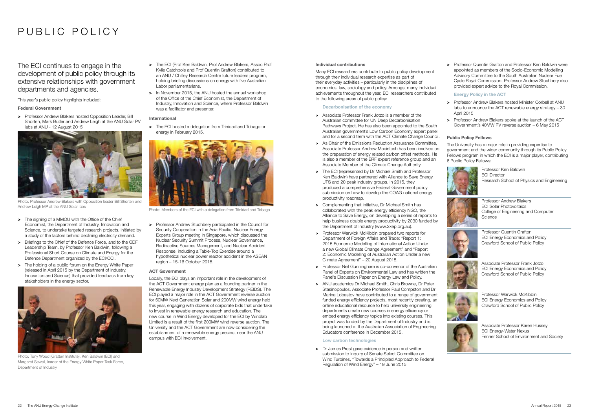#### Individual contributions

Many ECI researchers contribute to public policy development through their individual research expertise as part of their everyday activities – particularly in the disciplines of economics, law, sociology and policy. Amongst many individual achievements throughout the year, ECI researchers contributed to the following areas of public policy:

#### Decarbonisation of the economy

- > Associate Professor Frank Jotzo is a member of the Australian committee for UN Deep Decarbonisation Pathways Project. He has also been appointed to the South Australian government's Low Carbon Economy expert panel and for a second term with the ACT Climate Change Council.
- > As Chair of the Emissions Reduction Assurance Committee. Associate Professor Andrew Macintosh has been involved on the preparation of energy related carbon offset methods. He is also a member of the ERF expert reference group and an Associate Member of the Climate Change Authority.
- > The FCI (represented by Dr Michael Smith and Professor Ken Baldwin) have partnered with Alliance to Save Energy, UTS and 20 peak industry groups. In 2015, they produced a comprehensive Federal Government policy submission on how to develop the COAG national energy productivity roadmap.
- > Complementing that initiative, Dr Michael Smith has collaborated with the peak energy efficiency NGO, the Alliance to Save Energy, on developing a series of reports to help business double energy productivity by 2030 funded by the Department of Industry (www.2xep.org.au).
- > Professor Warwick McKibbin prepared two reports for Department of Foreign Affairs and Trade: "Report 1: 2015 Economic Modelling of International Action Under a new Global Climate Change Agreement" and "Report 2: Economic Modelling of Australian Action Under a new Climate Agreement" – 20 August 2015.
- > Professor Neil Gunningham is co-convenor of the Australian Panel of Experts on Environmental Law and has written the Panel's Discussion Paper on Energy Law and Policy.
- > ANU academics Dr Michael Smith, Chris Browne, Dr Peter Stasinopoulos, Associate Professor Paul Compston and Dr Marina Lobastov have contributed to a range of government funded energy efficiency projects, most recently creating, an online educational resource to help university engineering departments create new courses in energy efficiency or embed energy efficiency topics into existing courses. This project was funded by the Department of Industry and is being launched at the Australian Association of Engineering Educators conference in December 2015.

> Dr James Prest gave evidence in person and written submission to Inquiry of Senate Select Committee on Wind Turbines, "Towards a Principled Approach to Federal Regulation of Wind Energy" – 19 June 2015

- > The ECI (Prof Ken Baldwin, Prof Andrew Blakers, Assoc Prof Kylie Catchpole and Prof Quentin Grafton) contributed to an ANU / Chifley Research Centre future leaders program, holding briefing discussions on energy with five Australian Labor parliamentarians.
- > In November 2015, the ANU hosted the annual workshop of the Office of the Chief Economist, the Department of Industry, Innovation and Science, where Professor Baldwin was a facilitator and presenter.

> The ECI hosted a delegation from Trinidad and Tobago on energy in February 2015.

> Professor Andrew Stuchbery participated in the Council for Security Cooperation in the Asia Pacific, Nuclear Energy Experts Group meeting in Singapore, which discussed the Nuclear Security Summit Process, Nuclear Governance, Radioactive Sources Management, and Nuclear Accident Response, including a Table-Top Exercise around a hypothetical nuclear power reactor accident in the ASEAN region – 15-16 October 2015.

#### Low carbon technologies

# PUBLIC POLICY

The ECI continues to engage in the development of public policy through its extensive relationships with government departments and agencies.

This year's public policy highlights included:

#### Federal Government

> Professor Andrew Blakers hosted Opposition Leader, Bill Shorten, Mark Butler and Andrew Leigh at the ANU Solar PV labs at ANU - 12 August 2015

#### International

#### ACT Government

Locally, the ECI plays an important role in the development of the ACT Government energy plan as a founding partner in the Renewable Energy Industry Development Strategy (REIDS). The ECI played a major role in the ACT Government reverse auction for 50MW Next Generation Solar and 200MW wind energy held this year, engaging with dozens of corporate bids that undertake to invest in renewable energy research and education. The new course in Wind Energy developed for the ECI by Windlab Limited is a result of the first 200MW wind reverse auction. The University and the ACT Government are now considering the establishment of a renewable energy precinct near the ANU campus with ECI involvement.



Photo: Tony Wood (Grattan Institute), Ken Baldwin (ECI) and Margaret Sewell, leader of the Energy White Paper Task Force, Department of Industry



Photo: Members of the ECI with a delegation from Trinidad and Tobago

> Professor Quentin Grafton and Professor Ken Baldwin were appointed as members of the Socio-Economic Modelling Advisory Committee to the South Australian Nuclear Fuel Cycle Royal Commission. Professor Andrew Stuchbery also provided expert advice to the Royal Commission.

Energy Policy in the ACT

- > Professor Andrew Blakers hosted Minister Corbell at ANU labs to announce the ACT renewable energy strategy – 30 April 2015
- > Professor Andrew Blakers spoke at the launch of the ACT Government's 40MW PV reverse auction – 6 May 2015

#### Public Policy Fellows

The University has a major role in providing expertise to government and the wider community through its Public Policy Fellows program in which the ECI is a major player, contributing 6 Public Policy Fellows:





Photo: Professor Andrew Blakers with Opposition leader Bill Shorten and Andrew Leigh MP at the ANU Solar labs

- > The signing of a MMOU with the Office of the Chief Economist, the Department of Industry, Innovation and Science, to undertake targeted research projects, initiated by a study of the factors behind declining electricity demand.
- > Briefings to the Chief of the Defence Force, and to the CDF Leadership Team, by Professor Ken Baldwin, following a Professional Short Course on Climate and Energy for the Defence Department organized by the ECI/CCI.
- > The holding of a public forum on the Energy White Paper (released in April 2015 by the Department of Industry, Innovation and Science) that provided feedback from key stakeholders in the energy sector.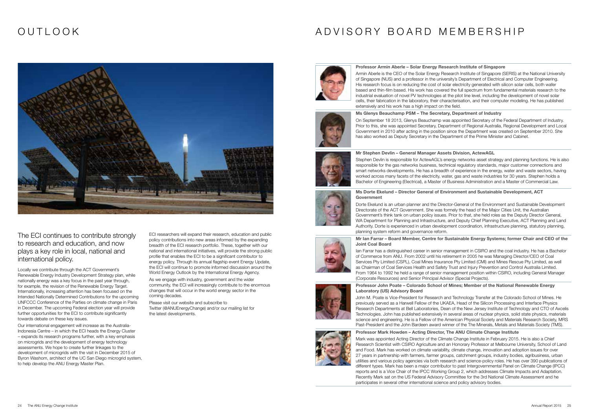# OUTLOOK

The ECI continues to contribute strongly to research and education, and now plays a key role in local, national and international policy.

Locally we contribute through the ACT Government's Renewable Energy Industry Development Strategy plan, while nationally energy was a key focus in the past year through, for example, the revision of the Renewable Energy Target. Internationally, increasing attention has been focused on the Intended Nationally Determined Contributions for the upcoming UNFCCC Conference of the Parties on climate change in Paris in December. The upcoming Federal election year will provide further opportunities for the ECI to contribute significantly towards debate on these key issues.

Our international engagement will increase as the Australia-Indonesia Centre – in which the ECI heads the Energy Cluster – expands its research programs further, with a key emphasis on microgrids and the development of energy technology assessments. We hope to create further linkages to the development of microgrids with the visit in December 2015 of Byron Washom, architect of the UC San Diego microgrid system, to help develop the ANU Energy Master Plan.

ECI researchers will expand their research, education and public policy contributions into new areas informed by the expanding breadth of the ECI research portfolio. These, together with our national and international initiatives, will provide the strong public profile that enables the ECI to be a significant contributor to energy policy. Through its annual flagship event Energy Update, the ECI will continue to promote informed discussion around the World Energy Outlook by the International Energy Agency.

As we engage with industry, government and the wider community, the ECI will increasingly contribute to the enormous changes that will occur in the world energy sector in the coming decades.

Please visit our website and subscribe to Twitter (@ANUEnergyChange) and/or our mailing list for the latest developments.



Professor Armin Aberle – Solar Energy Research Institute of Singapore

Armin Aberle is the CEO of the Solar Energy Research Institute of Singapore (SERIS) at the National University of Singapore (NUS) and a professor in the university's Department of Electrical and Computer Engineering. His research focus is on reducing the cost of solar electricity generated with silicon solar cells, both wafer based and thin-film based. His work has covered the full spectrum from fundamental materials research to the industrial evaluation of novel PV technologies at the pilot line level, including the development of novel solar cells, their fabrication in the laboratory, their characterisation, and their computer modeling. He has published extensively and his work has a high impact on the field.



#### Ms Glenys Beauchamp PSM – The Secretary, Department of Industry

On September 18 2013, Glenys Beauchamp was appointed Secretary of the Federal Department of Industry. Prior to this, she was appointed Secretary, Department of Regional Australia, Regional Development and Local Government in 2010 after acting in the position since the Department was created on September 2010. She has also worked as Deputy Secretary in the Department of the Prime Minister and Cabinet.



#### Mr Stephen Devlin – General Manager Assets Division, ActewAGL

Stephen Devlin is responsible for ActewAGL's energy networks asset strategy and planning functions. He is also responsible for the gas networks business, technical regulatory standards, major customer connections and smart networks developments. He has a breadth of experience in the energy, water and waste sectors, having worked across many facets of the electricity, water, gas and waste industries for 30 years. Stephen holds a Bachelor of Engineering (Electrical), a Master of Business Administration and a Master of Commercial Law.

#### Ms Dorte Ekelund – Director General of Environment and Sustainable Development, ACT

# Government

Dorte Ekelund is an urban planner and the Director-General of the Environment and Sustainable Development Directorate of the ACT Government. She was formely the head of the Major Cities Unit, the Australian Government's think tank on urban policy issues. Prior to that, she held roles as the Deputy Director General, WA Department for Planning and Infrastructure, and Deputy Chief Planning Executive, ACT Planning and Land Authority. Dorte is experienced in urban development coordination, infrastructure planning, statutory planning, planning system reform and governance reform.

#### Mr Ian Farrar – Board Member, Centre for Sustainable Energy Systems; former Chair and CEO of the

Joint Coal Board

Ian Farrar has a distinguished career in senior management in CSIRO and the coal industry. He has a Bachelor of Commerce from ANU. From 2002 until his retirement in 2005 he was Managing Director/CEO of Coal Services Pty Limited (CSPL), Coal Mines Insurance Pty Limited (CMI) and Mines Rescue Pty Limited, as well as Chairman of Coal Services Health and Safety Trust and Injury Prevention and Control Australia Limited. From 1964 to 1992 he held a range of senior management position within CSIRO, including General Manager (Corporate Resources) and Senior Principal Advisor (Special Projects).

#### Professor John Poate – Colorado School of Mines; Member of the National Renewable Energy

Laboratory (US) Advisory Board





John M. Poate is Vice-President for Research and Technology Transfer at the Colorado School of Mines. He previously served as a Harwell Fellow of the UKAEA, Head of the Silicon Processing and Interface Physics Research Departments at Bell Laboratories, Dean of the New Jersey Institute of Technology and CTO of Axcelis Technologies. John has published extensively in several areas of nuclear physics, solid state physics, materials science and engineering. He is a Fellow of the American Physical Society and Materials Research Society, MRS Past-President and the John Bardeen award winner of the The Minerals, Metals and Materials Society (TMS).

#### Professor Mark Howden – Acting Director, The ANU Climate Change Institute

Mark was appointed Acting Director of the Climate Change Institute in February 2015. He is also a Chief Research Scientist with CSIRO Agriculture and an Honorary Professor at Melbourne University, School of Land and Food. Mark has worked on climate variability, climate change, innovation and adoption issues for over 27 years in partnership with farmers, farmer groups, catchment groups, industry bodies, agribusiness, urban utilities and various policy agencies via both research and science-policy roles. He has over 390 publications of different types. Mark has been a major contributor to past Intergovernmental Panel on Climate Change (IPCC) reports and is a Vice Chair of the IPCC Working Group 2, which addresses Climate Impacts and Adaptation. Recently Mark sat on the US Federal Advisory Committee for the 3rd National Climate Assessment and he participates in several other international science and policy advisory bodies.

### ADVISORY BOARD MEMBERSHIP

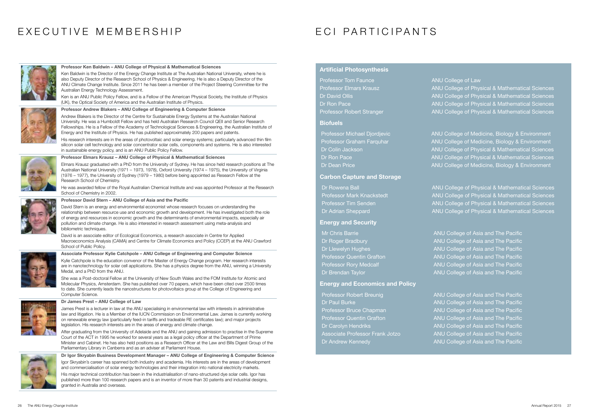# EXECUTIVE MEMBERSHIP **EXECUTIVE MEMBERSHIP**



#### Professor Ken Baldwin – ANU College of Physical & Mathematical Sciences

Ken Baldwin is the Director of the Energy Change Institute at The Australian National University, where he is also Deputy Director of the Research School of Physics & Engineering. He is also a Deputy Director of the ANU Climate Change Institute. Since 2011 he has been a member of the Project Steering Committee for the Australian Energy Technology Assessment.

Ken is an ANU Public Policy Fellow, and is a Fellow of the American Physical Society, the Institute of Physics (UK), the Optical Society of America and the Australian Institute of Physics.

#### Professor Andrew Blakers – ANU College of Engineering & Computer Science

Andrew Blakers is the Director of the Centre for Sustainable Energy Systems at the Australian National University. He was a Humboldt Fellow and has held Australian Research Council QEII and Senior Research Fellowships. He is a Fellow of the Academy of Technological Sciences & Engineering, the Australian Institute of Energy and the Institute of Physics. He has published approximately 200 papers and patents.

His research interests are in the areas of photovoltaic and solar energy systems; particularly advanced thin film silicon solar cell technology and solar concentrator solar cells, components and systems. He is also interested in sustainable energy policy, and is an ANU Public Policy Fellow.



#### Professor Elmars Krausz – ANU College of Physical & Mathematical Sciences

Elmars Krausz graduated with a PhD from the University of Sydney. He has since held research positions at The Australian National University (1971 – 1973, 1978), Oxford University (1974 – 1975), the University of Virginia (1976 – 1977), the University of Sydney (1979 – 1980) before being appointed as Research Fellow at the Research School of Chemistry.

He was awarded fellow of the Royal Australian Chemical Institute and was appointed Professor at the Research School of Chemistry in 2002.



#### Professor David Stern – ANU College of Asia and the Pacific

David Stern is an energy and environmental economist whose research focuses on understanding the relationship between resource use and economic growth and development. He has investigated both the role of energy and resources in economic growth and the determinants of environmental impacts, especially air pollution and climate change. He is also interested in research assessment using meta-analysis and bibliometric techniques.

David is an associate editor of Ecological Economics, a research associate in Centre for Applied Macroeconomics Analysis (CAMA) and Centre for Climate Economics and Policy (CCEP) at the ANU Crawford School of Public Policy.



#### Associate Professor Kylie Catchpole – ANU College of Engineering and Computer Science

Kylie Catchpole is the education convenor of the Master of Energy Change program. Her research interests are in nanotechnology for solar cell applications. She has a physics degree from the ANU, winning a University Medal, and a PhD from the ANU.

She was a Post-doctoral Fellow at the University of New South Wales and the FOM Institute for Atomic and Molecular Physics, Amsterdam. She has published over 70 papers, which have been cited over 2500 times to date. She currently leads the nanostructures for photovoltaics group at the College of Engineering and Computer Science.



#### Dr James Prest – ANU College of Law

James Prest is a lecturer in law at the ANU specialising in environmental law with interests in administrative law and litigation. He is a Member of the IUCN Commission on Environmental Law. James is currently working on renewable energy law (particularly feed-in tariffs and tradeable RE certificates law); and major projects legislation. His research interests are in the areas of energy and climate change.

After graduating from the University of Adelaide and the ANU and gaining admission to practise in the Supreme Court of the ACT in 1995 he worked for several years as a legal policy officer at the Department of Prime Minister and Cabinet. He has also held positions as a Research Officer at the Law and Bills Digest Group of the Parliamentary Library in Canberra and as an adviser at Parliament House.



Dr Igor Skryabin Business Development Manager – ANU College of Engineering & Computer Science Igor Skryabin's career has spanned both industry and academia. His interests are in the areas of development and commercialisation of solar energy technologies and their integration into national electricity markets. His major technical contribution has been in the industrialisation of nano-structured dye solar cells. Igor has published more than 100 research papers and is an inventor of more than 30 patents and industrial designs, granted in Australia and overseas.

#### Artificial Photosynthesis

| <b>Professor Tom Faunce</b>      | ANU |
|----------------------------------|-----|
| <b>Professor Elmars Krausz</b>   | ANU |
| Dr David Ollis                   | ANU |
| Dr Ron Pace                      | ANU |
| <b>Professor Robert Stranger</b> | ANU |

#### **Biofuels**

| Professor Michael Djordjevic | ANU |
|------------------------------|-----|
| Professor Graham Farquhar    | ANU |
| Dr Colin Jackson             | ANL |
| Dr Ron Pace                  | ANU |
| Dr Dean Price                | ANL |

#### Carbon Capture and Storage

| <b>ANU</b> |
|------------|
| <b>ANU</b> |
| <b>ANU</b> |
| <b>ANU</b> |
|            |

#### Energy and Security

| <b>1r Chris Barrie</b>   | <b>ANU</b> |
|--------------------------|------------|
| r Roger Bradbury         | <b>ANU</b> |
| r Llewelyn Hughes        | <b>ANU</b> |
| rofessor Quentin Grafton | <b>ANU</b> |
| rofessor Rory Medcalf    | <b>ANU</b> |
| r Brendan Taylor         | <b>ANU</b> |

#### Energy and Economics and Policy

| <b>Professor Robert Breunig</b>        | <b>ANU</b> |
|----------------------------------------|------------|
| Dr Paul Burke                          | <b>ANU</b> |
| <b>Professor Bruce Chapman</b>         | <b>ANU</b> |
| Professor Quentin Grafton              | <b>ANU</b> |
| Dr Carolyn Hendriks                    | <b>ANU</b> |
| <b>Associate Professor Frank Jotzo</b> | <b>ANU</b> |
| Dr Andrew Kennedy                      | <b>ANU</b> |
|                                        |            |

College of Law College of Physical & Mathematical Sciences College of Physical & Mathematical Sciences College of Physical & Mathematical Sciences **College of Physical & Mathematical Sciences** 

College of Medicine, Biology & Environment College of Medicine, Biology & Environment College of Physical & Mathematical Sciences College of Physical & Mathematical Sciences College of Medicine, Biology & Environment

College of Physical & Mathematical Sciences College of Physical & Mathematical Sciences **College of Physical & Mathematical Sciences** College of Physical & Mathematical Sciences

College of Asia and The Pacific College of Asia and The Pacific College of Asia and The Pacific College of Asia and The Pacific College of Asia and The Pacific College of Asia and The Pacific

College of Asia and The Pacific College of Asia and The Pacific College of Asia and The Pacific College of Asia and The Pacific College of Asia and The Pacific College of Asia and The Pacific College of Asia and The Pacific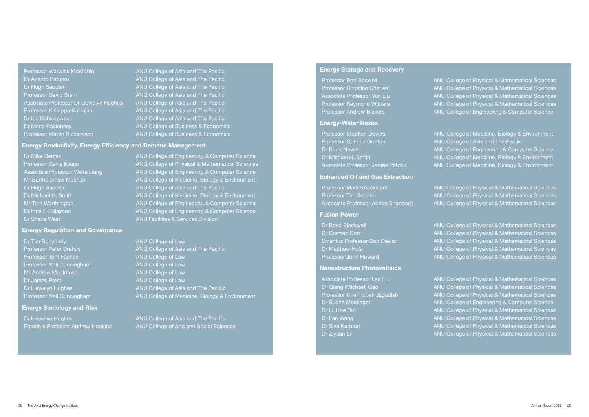Dr Arianto Patunru **ANU College of Asia and The Pacific** Dr Hugh Saddler Anu College of Asia and The Pacific Professor David Stern **ANU College of Asia and The Pacific** Associate Professor Dr Llewelyn Hughes ANU College of Asia and The Pacific Professor Kaliappa Kalirajan ANU College of Asia and The Pacific Dr Ida Kubiszewski **ANU College of Asia and The Pacific** Dr Maria Racionero **ANU College of Business & Economics** 

Professor Warwick McKibbin ANU College of Asia and The Pacific Professor Martin Richardson **ANU College of Business & Economics** 

Dr Mike Dennis ANU College of Engineering & Computer Science Professor Denis Evans ANU College of Physical & Mathematical Sciences Associate Professor Weifa Liang **ANU College of Engineering & Computer Science** Mr Bartholomew Meehan ANU College of Medicine, Biology & Environment Dr Hugh Saddler **ANU College of Asia and The Pacific** Dr Michael H. Smith ANU College of Medicine, Biology & Environment Mr Tom Worthington **ANU College of Engineering & Computer Science** Dr Idris F. Sulaiman ANU College of Engineering & Computer Science **Dr Shane West ANU Facilities & Services Division** 

#### Energy Productivity, Energy Efficiency and Demand Management

Professor Peter Drahos ANU College of Asia and The Pacifiic Dr Llewelyn Hughes **ANU College of Asia and The Pacifiic** Professor Neil Gunningham ANU College of Medicine, Biology & Environment

Emeritus Professor Andrew Hopkins ANU College of Arts and Social Sciences

#### Energy Regulation and Governance

**Dr Tim Bonyhady ANU College of Law** Professor Tom Faunce ANU College of Law Professor Neil Gunningham ANU College of Law Mr Andrew MacIntosh ANU College of Law Dr James Prest ANU College of Law

#### Energy Sociology and Risk

Dr Llewelyn Hughes **ANU College of Asia and The Pacific** 

#### Energy Storage and Recovery

| Professor Rod Boswell               | ANU        |
|-------------------------------------|------------|
| <b>Professor Christine Charles</b>  | ANU        |
| <u>Associa</u> te Professor Yun Liu | <b>ANU</b> |
| <b>Professor Raymond Withers</b>    | ANU        |
| Professor Andrew Blakers            | <b>ANU</b> |

#### Energy-Water Nexus

| Professor Stephen Dovers          | <b>ANI</b> |
|-----------------------------------|------------|
| Professor Quentin Grafton         | <b>ANI</b> |
| Dr Barry Newell                   | <b>ANI</b> |
| Dr Michael H. Smith               | <b>ANI</b> |
| Associate Professor James Pittock | <b>ANI</b> |

#### Enhanced Oil and Gas Extraction

| rofessor Mark Knackstedt           | ANU        |
|------------------------------------|------------|
| rofessor Tim Senden.               | <b>ANU</b> |
| ssociate Professor Adrian Sheppard | <b>ANU</b> |

#### Fusion Power

| Dr Boyd Blackwell            | <b>ANI</b> |
|------------------------------|------------|
| Dr Cormac Corr               | <b>ANI</b> |
| Emeritus Professor Bob Dewar | <b>ANU</b> |
| Dr Matthew Hole,             | <b>ANU</b> |
| Professor John Howard        | <b>ANI</b> |

#### Nanostructure Photovoltaics

| <b>Associate Professor Lan Fu</b> | ANU College of Physical & Mathematical Sciences            |
|-----------------------------------|------------------------------------------------------------|
| Dr Qiang (Michael) Gao            | ANU College of Physical & Mathematical Sciences            |
| Professor Chennupati Jagadish     | <b>ANU College of Physical &amp; Mathematical Sciences</b> |
| Dr Sudha Mokkapati                | ANU College of Engineering & Computer Science              |
| Dr H. Hoe Tan                     | ANU College of Physical & Mathematical Sciences            |
| Dr Fan Wang                       | ANU College of Physical & Mathematical Sciences            |
| Dr Siva Karuturi                  | ANU College of Physical & Mathematical Sciences            |
| Dr Ziyuan Li                      | ANU College of Physical & Mathematical Sciences            |

College of Physical & Mathematical Sciences **College of Physical & Mathematical Sciences** College of Physical & Mathematical Sciences College of Physical & Mathematical Sciences College of Engineering & Computer Science

J College of Medicine, Biology & Environment J College of Asia and The Pacific **Dr Barry College of Engineering & Computer Science** J College of Medicine, Biology & Environment J College of Medicine, Biology & Environment

J College of Physical & Mathematical Sciences **J College of Physical & Mathematical Sciences College of Physical & Mathematical Sciences** 

**College of Physical & Mathematical Sciences** College of Physical & Mathematical Sciences **College of Physical & Mathematical Sciences College of Physical & Mathematical Sciences College of Physical & Mathematical Sciences** 

| College of Physical & Mathematical Sciences            |  |
|--------------------------------------------------------|--|
| College of Physical & Mathematical Sciences            |  |
| College of Physical & Mathematical Sciences            |  |
| College of Engineering & Computer Science              |  |
| <b>College of Physical &amp; Mathematical Sciences</b> |  |
| <b>College of Physical &amp; Mathematical Sciences</b> |  |
| College of Physical & Mathematical Sciences            |  |
| <b>College of Physical &amp; Mathematical Sciences</b> |  |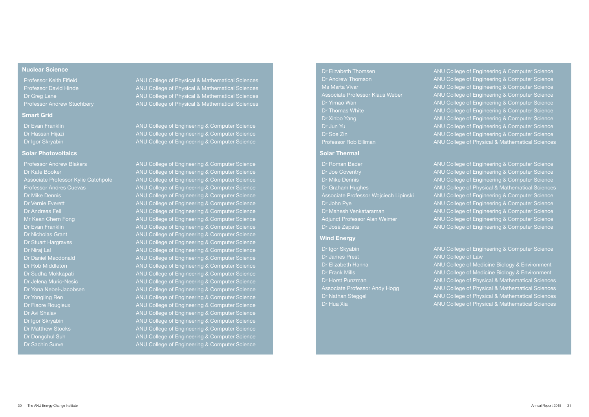#### Nuclear Science

#### **Smart Grid**

#### Solar Photovoltaics

Professor Andrew Blakers **ANU College of Engineering & Computer Science** 

Professor Keith Fifield **ANU College of Physical & Mathematical Sciences** Professor David Hinde **ANU College of Physical & Mathematical Sciences** Dr Greg Lane ANU College of Physical & Mathematical Sciences Professor Andrew Stuchbery **ANU College of Physical & Mathematical Sciences** 

Dr Evan Franklin ANU College of Engineering & Computer Science Dr Hassan Hijazi **ANU College of Engineering & Computer Science** Dr Igor Skryabin **ANU College of Engineering & Computer Science** 

Dr Kate Booker **ANU College of Engineering & Computer Science** Associate Professor Kylie Catchpole ANU College of Engineering & Computer Science Professor Andres Cuevas ANU College of Engineering & Computer Science Dr Mike Dennis ANU College of Engineering & Computer Science Dr Vernie Everett **ANU College of Engineering & Computer Science** Dr Andreas Fell ANU College of Engineering & Computer Science Mr Kean Chern Fong **ANU College of Engineering & Computer Science** Dr Evan Franklin ANU College of Engineering & Computer Science Dr Nicholas Grant ANU College of Engineering & Computer Science Dr Stuart Hargraves **ANU College of Engineering & Computer Science** Dr Niraj Lal **ANU College of Engineering & Computer Science** Dr Daniel Macdonald ANU College of Engineering & Computer Science Dr Rob Middleton **ANU College of Engineering & Computer Science** Dr Sudha Mokkapati **ANU College of Engineering & Computer Science** Dr Jelena Muric-Nesic **ANU College of Engineering & Computer Science** Dr Yona Nebel-Jacobsen ANU College of Engineering & Computer Science Dr Yongling Ren ANU College of Engineering & Computer Science Dr Fiacre Rougieux ANU College of Engineering & Computer Science Dr Avi Shalav **ANU College of Engineering & Computer Science** Dr Igor Skryabin ANU College of Engineering & Computer Science Dr Matthew Stocks **ANU College of Engineering & Computer Science** Dr Dongchul Suh ANU College of Engineering & Computer Science Dr Sachin Surve **ANU College of Engineering & Computer Science** 

| <b>Dr Elizabeth Thomsen</b>            | <b>ANU</b> |
|----------------------------------------|------------|
| Dr Andrew Thomson                      | <b>ANU</b> |
| <b>Ms Marta Vivar</b>                  | <b>ANU</b> |
| <b>Associate Professor Klaus Weber</b> | <b>ANU</b> |
| Dr Yimao Wan                           | <b>ANU</b> |
| <b>Dr Thomas White</b>                 | <b>ANU</b> |
| Dr Xinbo Yang                          | <b>ANU</b> |
| Dr Jun Yu                              | <b>ANU</b> |
| Dr Soe Zin                             | <b>ANU</b> |
| <b>Professor Rob Elliman</b>           | <b>ANU</b> |

#### Solar Thermal

| Dr Roman Bader                        | <b>AN</b> |
|---------------------------------------|-----------|
| Dr Joe Coventry                       | <b>AN</b> |
| <b>Dr Mike Dennis</b>                 | <b>AN</b> |
| Dr Graham Hughes                      | <b>AN</b> |
| Associate Professor Wojciech Lipinski | <b>AN</b> |
| Dr John Pye                           | <b>AN</b> |
| Dr Mahesh Venkataraman                | <b>AN</b> |
| Adjunct Professor Alan Weimer         | <b>AN</b> |
| Dr José Zapata                        | AN        |

#### Wind Energy

| <b>Ir Igor Skyabin</b>               | <b>ANL</b> |
|--------------------------------------|------------|
| <b>Dr James Prest</b>                | <b>ANL</b> |
| )r Elizabeth Hanna                   | <b>ANL</b> |
| )r Frank Mills                       | <b>ANL</b> |
| )r Horst Punzman                     | <b>ANL</b> |
| <b>Associate Professor Andy Hogg</b> | <b>ANL</b> |
| <b>Dr Nathan Steggel</b>             | <b>ANL</b> |
| )r Hua Xia                           | <b>ANL</b> |
|                                      |            |

College of Engineering & Computer Science College of Engineering & Computer Science College of Engineering & Computer Science College of Engineering & Computer Science College of Engineering & Computer Science College of Engineering & Computer Science College of Engineering & Computer Science College of Engineering & Computer Science College of Engineering & Computer Science College of Physical & Mathematical Sciences

U College of Engineering & Computer Science J College of Engineering & Computer Science J College of Engineering & Computer Science J College of Physical & Mathematical Sciences **J College of Engineering & Computer Science** J College of Engineering & Computer Science J College of Engineering & Computer Science J College of Engineering & Computer Science J College of Engineering & Computer Science

College of Engineering & Computer Science College of Law College of Medicine Biology & Environment College of Medicine Biology & Environment College of Physical & Mathematical Sciences College of Physical & Mathematical Sciences College of Physical & Mathematical Sciences College of Physical & Mathematical Sciences